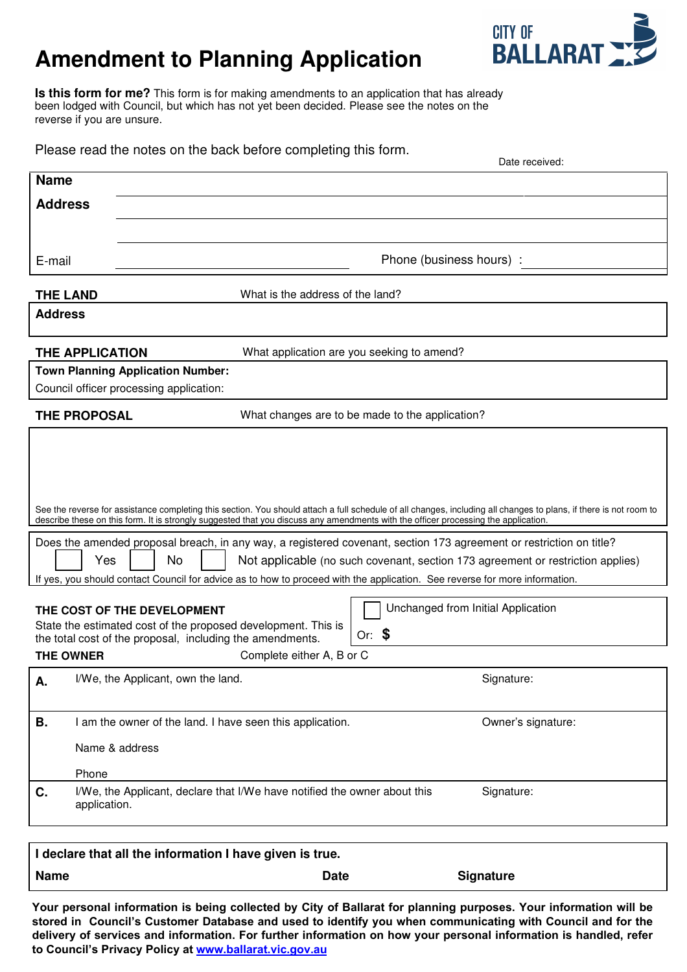# **Amendment to Planning Application**



**Is this form for me?** This form is for making amendments to an application that has already been lodged with Council, but which has not yet been decided. Please see the notes on the reverse if you are unsure.

| Please read the notes on the back before completing this form.<br>Date received:                                                                                                                                                                                                                        |                                                     |                                                                                         |                                                 |
|---------------------------------------------------------------------------------------------------------------------------------------------------------------------------------------------------------------------------------------------------------------------------------------------------------|-----------------------------------------------------|-----------------------------------------------------------------------------------------|-------------------------------------------------|
| <b>Name</b>                                                                                                                                                                                                                                                                                             |                                                     |                                                                                         |                                                 |
| <b>Address</b>                                                                                                                                                                                                                                                                                          |                                                     |                                                                                         |                                                 |
|                                                                                                                                                                                                                                                                                                         |                                                     |                                                                                         |                                                 |
|                                                                                                                                                                                                                                                                                                         |                                                     |                                                                                         | Phone (business hours) :                        |
| E-mail                                                                                                                                                                                                                                                                                                  |                                                     |                                                                                         |                                                 |
|                                                                                                                                                                                                                                                                                                         | What is the address of the land?<br><b>THE LAND</b> |                                                                                         |                                                 |
| <b>Address</b>                                                                                                                                                                                                                                                                                          |                                                     |                                                                                         |                                                 |
| <b>THE APPLICATION</b>                                                                                                                                                                                                                                                                                  |                                                     | What application are you seeking to amend?                                              |                                                 |
| <b>Town Planning Application Number:</b>                                                                                                                                                                                                                                                                |                                                     |                                                                                         |                                                 |
| Council officer processing application:                                                                                                                                                                                                                                                                 |                                                     |                                                                                         |                                                 |
| <b>THE PROPOSAL</b>                                                                                                                                                                                                                                                                                     |                                                     |                                                                                         | What changes are to be made to the application? |
|                                                                                                                                                                                                                                                                                                         |                                                     |                                                                                         |                                                 |
|                                                                                                                                                                                                                                                                                                         |                                                     |                                                                                         |                                                 |
|                                                                                                                                                                                                                                                                                                         |                                                     |                                                                                         |                                                 |
| See the reverse for assistance completing this section. You should attach a full schedule of all changes, including all changes to plans, if there is not room to<br>describe these on this form. It is strongly suggested that you discuss any amendments with the officer processing the application. |                                                     |                                                                                         |                                                 |
|                                                                                                                                                                                                                                                                                                         |                                                     |                                                                                         |                                                 |
| Does the amended proposal breach, in any way, a registered covenant, section 173 agreement or restriction on title?<br>No<br>Yes<br>Not applicable (no such covenant, section 173 agreement or restriction applies)                                                                                     |                                                     |                                                                                         |                                                 |
| If yes, you should contact Council for advice as to how to proceed with the application. See reverse for more information.                                                                                                                                                                              |                                                     |                                                                                         |                                                 |
|                                                                                                                                                                                                                                                                                                         |                                                     |                                                                                         | Unchanged from Initial Application              |
| THE COST OF THE DEVELOPMENT<br>State the estimated cost of the proposed development. This is                                                                                                                                                                                                            |                                                     |                                                                                         |                                                 |
| Or: $$$<br>the total cost of the proposal, including the amendments.                                                                                                                                                                                                                                    |                                                     |                                                                                         |                                                 |
| Complete either A, B or C<br><b>THE OWNER</b>                                                                                                                                                                                                                                                           |                                                     |                                                                                         |                                                 |
| А.                                                                                                                                                                                                                                                                                                      | I/We, the Applicant, own the land.                  |                                                                                         | Signature:                                      |
|                                                                                                                                                                                                                                                                                                         |                                                     |                                                                                         |                                                 |
| В.                                                                                                                                                                                                                                                                                                      |                                                     | I am the owner of the land. I have seen this application.                               | Owner's signature:                              |
|                                                                                                                                                                                                                                                                                                         | Name & address                                      |                                                                                         |                                                 |
|                                                                                                                                                                                                                                                                                                         | Phone                                               |                                                                                         |                                                 |
| C.                                                                                                                                                                                                                                                                                                      | application.                                        | I/We, the Applicant, declare that I/We have notified the owner about this<br>Signature: |                                                 |
|                                                                                                                                                                                                                                                                                                         |                                                     |                                                                                         |                                                 |
| I declare that all the information I have given is true.                                                                                                                                                                                                                                                |                                                     |                                                                                         |                                                 |
| <b>Name</b>                                                                                                                                                                                                                                                                                             |                                                     | <b>Date</b>                                                                             | <b>Signature</b>                                |

**Your personal information is being collected by City of Ballarat for planning purposes. Your information will be stored in Council's Customer Database and used to identify you when communicating with Council and for the delivery of services and information. For further information on how your personal information is handled, refer to Council's Privacy Policy at www.ballarat.vic.gov.au**